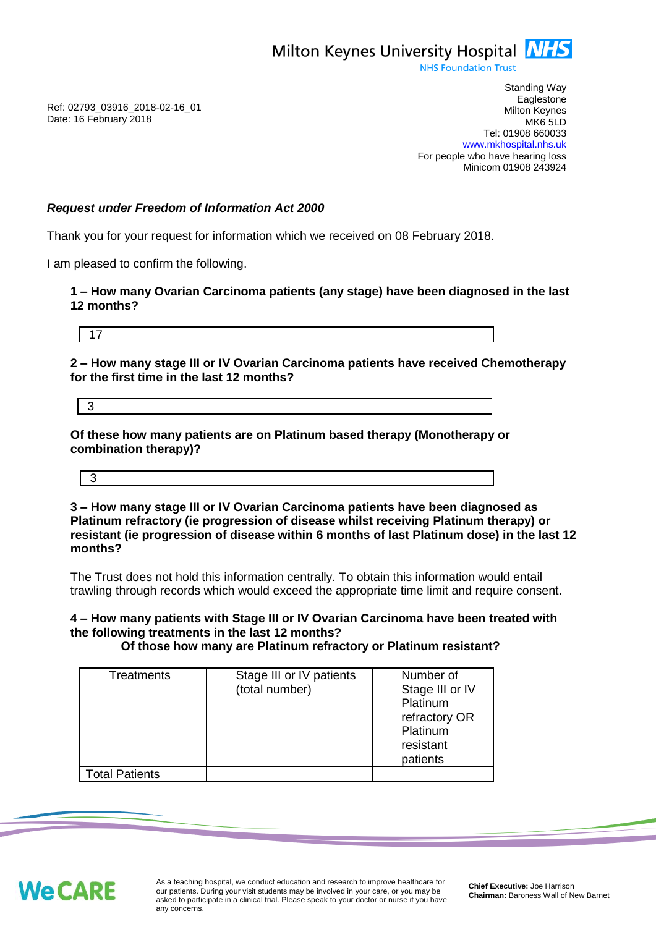

**NHS Foundation Trust** 

Ref: 02793\_03916\_2018-02-16\_01 Date: 16 February 2018

Standing Way **Eaglestone** Milton Keynes MK6 5LD Tel: 01908 660033 [www.mkhospital.nhs.uk](http://www.mkhospital.nhs.uk/) For people who have hearing loss Minicom 01908 243924

## *Request under Freedom of Information Act 2000*

Thank you for your request for information which we received on 08 February 2018.

I am pleased to confirm the following.

**1 – How many Ovarian Carcinoma patients (any stage) have been diagnosed in the last 12 months?**

17

**2 – How many stage III or IV Ovarian Carcinoma patients have received Chemotherapy for the first time in the last 12 months?**

3

**Of these how many patients are on Platinum based therapy (Monotherapy or combination therapy)?**

3

**3 – How many stage III or IV Ovarian Carcinoma patients have been diagnosed as Platinum refractory (ie progression of disease whilst receiving Platinum therapy) or resistant (ie progression of disease within 6 months of last Platinum dose) in the last 12 months?**

The Trust does not hold this information centrally. To obtain this information would entail trawling through records which would exceed the appropriate time limit and require consent.

**4 – How many patients with Stage III or IV Ovarian Carcinoma have been treated with the following treatments in the last 12 months?**

 **Of those how many are Platinum refractory or Platinum resistant?** 

| <b>Treatments</b>     | Stage III or IV patients<br>(total number) | Number of<br>Stage III or IV<br>Platinum<br>refractory OR<br>Platinum<br>resistant<br>patients |
|-----------------------|--------------------------------------------|------------------------------------------------------------------------------------------------|
| <b>Total Patients</b> |                                            |                                                                                                |